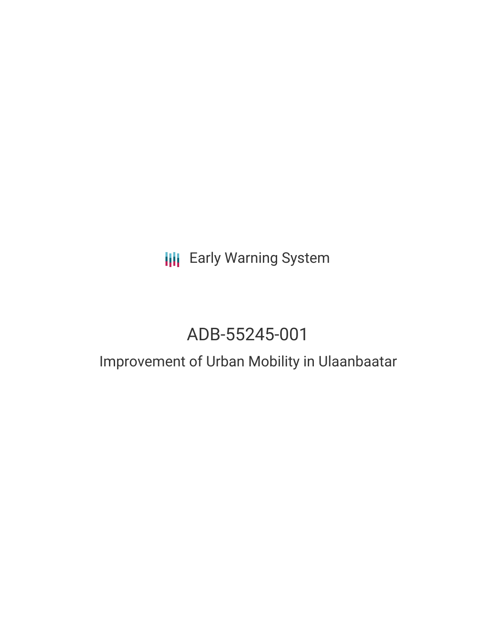## **III** Early Warning System

# ADB-55245-001

### Improvement of Urban Mobility in Ulaanbaatar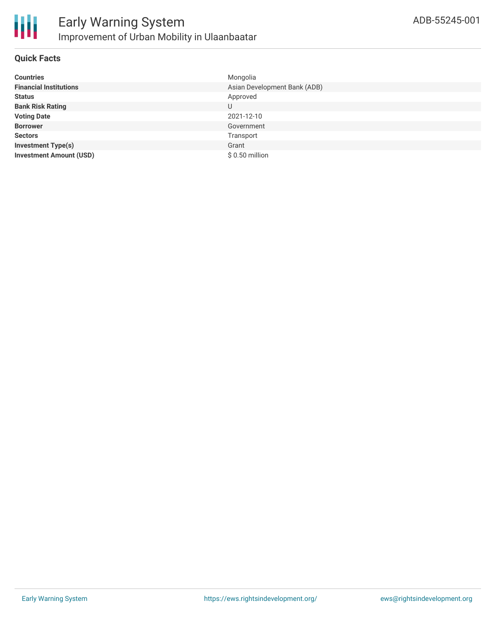

#### **Quick Facts**

| <b>Countries</b>               | Mongolia                     |
|--------------------------------|------------------------------|
| <b>Financial Institutions</b>  | Asian Development Bank (ADB) |
| <b>Status</b>                  | Approved                     |
| <b>Bank Risk Rating</b>        | U                            |
| <b>Voting Date</b>             | 2021-12-10                   |
| <b>Borrower</b>                | Government                   |
| <b>Sectors</b>                 | Transport                    |
| <b>Investment Type(s)</b>      | Grant                        |
| <b>Investment Amount (USD)</b> | \$0.50 million               |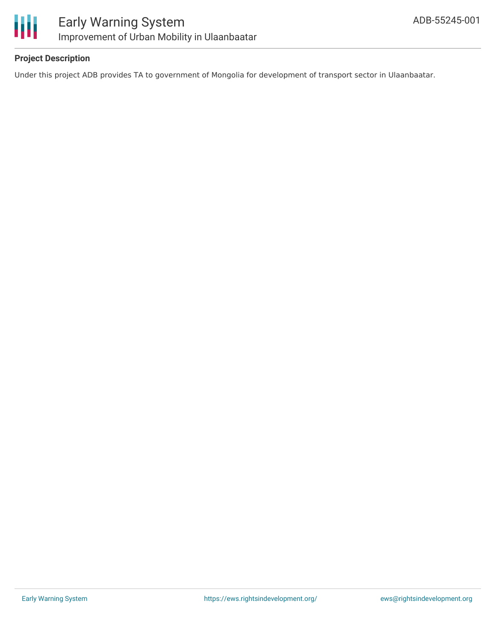

#### **Project Description**

Under this project ADB provides TA to government of Mongolia for development of transport sector in Ulaanbaatar.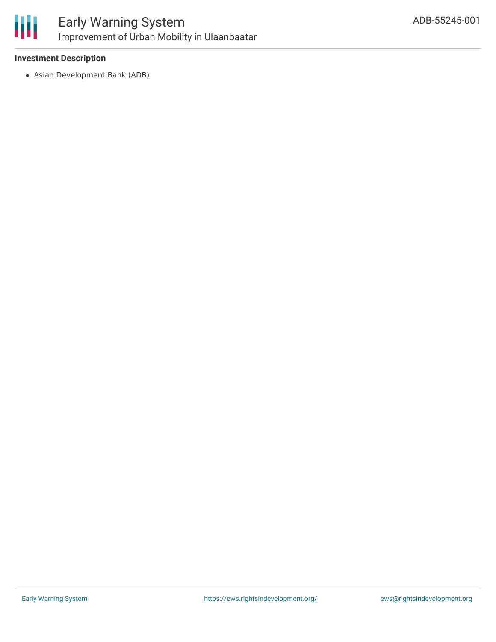

#### **Investment Description**

Asian Development Bank (ADB)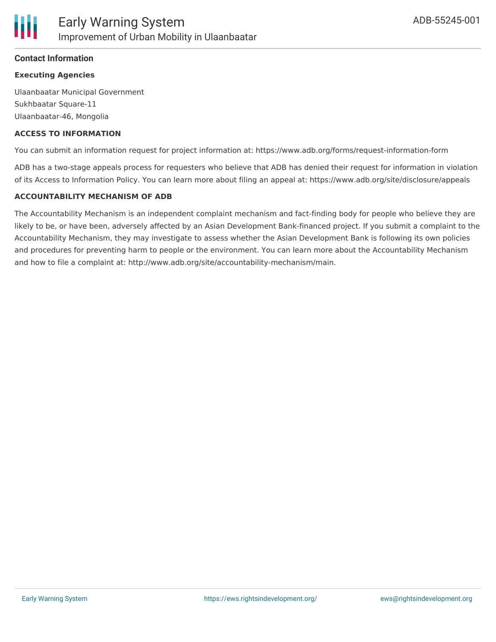#### **Contact Information**

#### **Executing Agencies**

Ulaanbaatar Municipal Government Sukhbaatar Square-11 Ulaanbaatar-46, Mongolia

#### **ACCESS TO INFORMATION**

You can submit an information request for project information at: https://www.adb.org/forms/request-information-form

ADB has a two-stage appeals process for requesters who believe that ADB has denied their request for information in violation of its Access to Information Policy. You can learn more about filing an appeal at: https://www.adb.org/site/disclosure/appeals

#### **ACCOUNTABILITY MECHANISM OF ADB**

The Accountability Mechanism is an independent complaint mechanism and fact-finding body for people who believe they are likely to be, or have been, adversely affected by an Asian Development Bank-financed project. If you submit a complaint to the Accountability Mechanism, they may investigate to assess whether the Asian Development Bank is following its own policies and procedures for preventing harm to people or the environment. You can learn more about the Accountability Mechanism and how to file a complaint at: http://www.adb.org/site/accountability-mechanism/main.